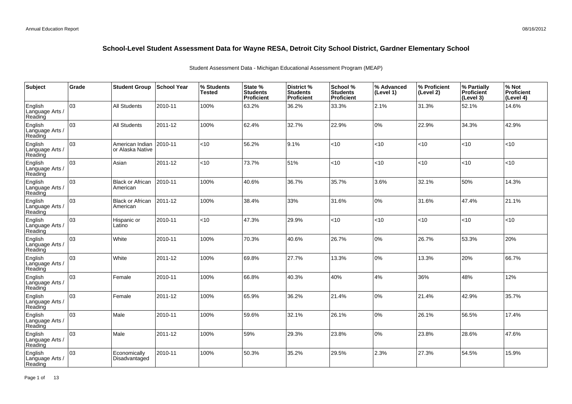| Subject                               | Grade | <b>Student Group</b>                | School Year | % Students<br><b>Tested</b> | State %<br><b>Students</b><br>Proficient | District %<br><b>Students</b><br><b>Proficient</b> | School %<br><b>Students</b><br><b>Proficient</b> | % Advanced<br>(Level 1) | % Proficient<br>(Level 2) | % Partially<br>Proficient<br>(Level 3) | % Not<br>Proficient<br>(Level 4) |
|---------------------------------------|-------|-------------------------------------|-------------|-----------------------------|------------------------------------------|----------------------------------------------------|--------------------------------------------------|-------------------------|---------------------------|----------------------------------------|----------------------------------|
| English<br>Language Arts /<br>Reading | 03    | <b>All Students</b>                 | 2010-11     | 100%                        | 63.2%                                    | 36.2%                                              | 33.3%                                            | 2.1%                    | 31.3%                     | 52.1%                                  | 14.6%                            |
| English<br>Language Arts /<br>Reading | 03    | <b>All Students</b>                 | 2011-12     | 100%                        | 62.4%                                    | 32.7%                                              | 22.9%                                            | 0%                      | 22.9%                     | 34.3%                                  | 42.9%                            |
| English<br>Language Arts /<br>Reading | 03    | American Indian<br>or Alaska Native | 2010-11     | $<$ 10                      | 56.2%                                    | 9.1%                                               | < 10                                             | <10                     | $<$ 10                    | < 10                                   | <10                              |
| English<br>Language Arts /<br>Reading | 03    | Asian                               | 2011-12     | <10                         | 73.7%                                    | 51%                                                | < 10                                             | <10                     | <10                       | < 10                                   | <10                              |
| English<br>Language Arts /<br>Reading | 03    | <b>Black or African</b><br>American | 2010-11     | 100%                        | 40.6%                                    | 36.7%                                              | 35.7%                                            | 3.6%                    | 32.1%                     | 50%                                    | 14.3%                            |
| English<br>Language Arts /<br>Reading | 03    | <b>Black or African</b><br>American | 2011-12     | 100%                        | 38.4%                                    | 33%                                                | 31.6%                                            | 0%                      | 31.6%                     | 47.4%                                  | 21.1%                            |
| English<br>Language Arts /<br>Reading | 03    | Hispanic or<br>Latino               | 2010-11     | <10                         | 47.3%                                    | 29.9%                                              | < 10                                             | <10                     | <10                       | < 10                                   | <10                              |
| English<br>Language Arts<br>Reading   | 03    | White                               | 2010-11     | 100%                        | 70.3%                                    | 40.6%                                              | 26.7%                                            | 0%                      | 26.7%                     | 53.3%                                  | 20%                              |
| English<br>Language Arts /<br>Reading | 03    | White                               | 2011-12     | 100%                        | 69.8%                                    | 27.7%                                              | 13.3%                                            | 0%                      | 13.3%                     | 20%                                    | 66.7%                            |
| English<br>Language Arts<br>Reading   | 03    | Female                              | 2010-11     | 100%                        | 66.8%                                    | 40.3%                                              | 40%                                              | 4%                      | 36%                       | 48%                                    | 12%                              |
| English<br>Language Arts<br>Reading   | 03    | Female                              | 2011-12     | 100%                        | 65.9%                                    | 36.2%                                              | 21.4%                                            | 0%                      | 21.4%                     | 42.9%                                  | 35.7%                            |
| English<br>Language Arts<br>Reading   | 03    | Male                                | 2010-11     | 100%                        | 59.6%                                    | 32.1%                                              | 26.1%                                            | 0%                      | 26.1%                     | 56.5%                                  | 17.4%                            |
| English<br>Language Arts /<br>Reading | 03    | Male                                | 2011-12     | 100%                        | 59%                                      | 29.3%                                              | 23.8%                                            | $0\%$                   | 23.8%                     | 28.6%                                  | 47.6%                            |
| English<br>Language Arts<br>Reading   | 03    | Economically<br>Disadvantaged       | 2010-11     | 100%                        | 50.3%                                    | 35.2%                                              | 29.5%                                            | 2.3%                    | 27.3%                     | 54.5%                                  | 15.9%                            |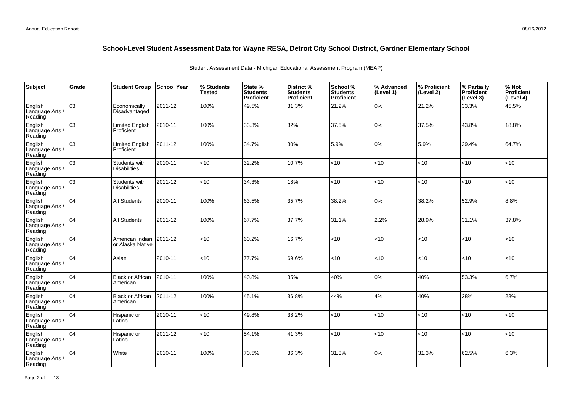| Subject                               | Grade | <b>Student Group</b>                 | <b>School Year</b> | % Students<br><b>Tested</b> | State %<br><b>Students</b><br><b>Proficient</b> | District %<br><b>Students</b><br><b>Proficient</b> | School %<br><b>Students</b><br>Proficient | % Advanced<br>(Level 1) | % Proficient<br>(Level 2) | % Partially<br>Proficient<br>(Level 3) | % Not<br>Proficient<br>(Level 4) |
|---------------------------------------|-------|--------------------------------------|--------------------|-----------------------------|-------------------------------------------------|----------------------------------------------------|-------------------------------------------|-------------------------|---------------------------|----------------------------------------|----------------------------------|
| English<br>Language Arts /<br>Reading | 03    | Economically<br>Disadvantaged        | 2011-12            | 100%                        | 49.5%                                           | 31.3%                                              | 21.2%                                     | 0%                      | 21.2%                     | 33.3%                                  | 45.5%                            |
| English<br>Language Arts /<br>Reading | 03    | Limited English<br>Proficient        | 2010-11            | 100%                        | 33.3%                                           | 32%                                                | 37.5%                                     | 0%                      | 37.5%                     | 43.8%                                  | 18.8%                            |
| English<br>Language Arts /<br>Reading | 03    | Limited English<br>Proficient        | 2011-12            | 100%                        | 34.7%                                           | 30%                                                | 5.9%                                      | 0%                      | 5.9%                      | 29.4%                                  | 64.7%                            |
| English<br>Language Arts /<br>Reading | 03    | Students with<br><b>Disabilities</b> | 2010-11            | <10                         | 32.2%                                           | 10.7%                                              | <10                                       | <10                     | < 10                      | < 10                                   | <10                              |
| English<br>Language Arts /<br>Reading | lоз   | Students with<br><b>Disabilities</b> | 2011-12            | <10                         | 34.3%                                           | 18%                                                | < 10                                      | < 10                    | $10^{-1}$                 | < 10                                   | $<$ 10                           |
| English<br>Language Arts /<br>Reading | 104   | All Students                         | 2010-11            | 100%                        | 63.5%                                           | 35.7%                                              | 38.2%                                     | 0%                      | 38.2%                     | 52.9%                                  | 8.8%                             |
| English<br>Language Arts /<br>Reading | 104   | <b>All Students</b>                  | 2011-12            | 100%                        | 67.7%                                           | 37.7%                                              | 31.1%                                     | 2.2%                    | 28.9%                     | 31.1%                                  | 37.8%                            |
| English<br>Language Arts /<br>Reading | 104   | American Indian<br>or Alaska Native  | 2011-12            | <10                         | 60.2%                                           | 16.7%                                              | <10                                       | <10                     | < 10                      | < 10                                   | <10                              |
| English<br>Language Arts /<br>Reading | 104   | Asian                                | 2010-11            | <10                         | 77.7%                                           | 69.6%                                              | < 10                                      | < 10                    | $<$ 10                    | < 10                                   | <10                              |
| English<br>Language Arts /<br>Reading | 04    | <b>Black or African</b><br>American  | 2010-11            | 100%                        | 40.8%                                           | 35%                                                | 40%                                       | 0%                      | 40%                       | 53.3%                                  | 6.7%                             |
| English<br>Language Arts /<br>Reading | 04    | <b>Black or African</b><br>American  | 2011-12            | 100%                        | 45.1%                                           | 36.8%                                              | 44%                                       | 4%                      | 40%                       | 28%                                    | 28%                              |
| English<br>Language Arts /<br>Reading | 04    | Hispanic or<br>Latino                | 2010-11            | <10                         | 49.8%                                           | 38.2%                                              | <10                                       | < 10                    | <10                       | <10                                    | <10                              |
| English<br>Language Arts /<br>Reading | 104   | Hispanic or<br>Latino                | 2011-12            | < 10                        | 54.1%                                           | 41.3%                                              | < 10                                      | < 10                    | < 10                      | < 10                                   | $<$ 10                           |
| English<br>Language Arts<br>Reading   | 04    | White                                | 2010-11            | 100%                        | 70.5%                                           | 36.3%                                              | 31.3%                                     | 0%                      | 31.3%                     | 62.5%                                  | 6.3%                             |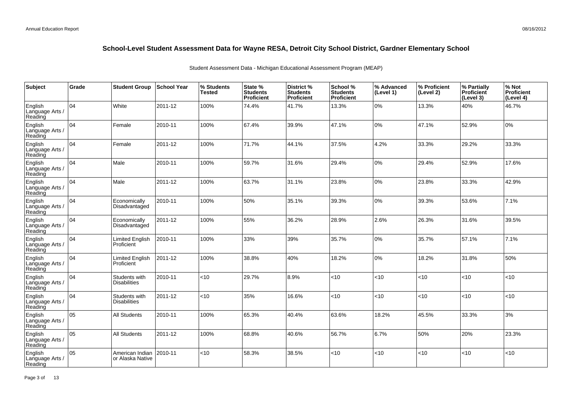| Subject                               | Grade | <b>Student Group</b>                 | School Year | % Students<br><b>Tested</b> | State %<br><b>Students</b><br>Proficient | District %<br><b>Students</b><br><b>Proficient</b> | School %<br><b>Students</b><br><b>Proficient</b> | % Advanced<br>(Level 1) | % Proficient<br>(Level 2) | % Partially<br>Proficient<br>(Level 3) | % Not<br>Proficient<br>(Level 4) |
|---------------------------------------|-------|--------------------------------------|-------------|-----------------------------|------------------------------------------|----------------------------------------------------|--------------------------------------------------|-------------------------|---------------------------|----------------------------------------|----------------------------------|
| English<br>Language Arts /<br>Reading | 04    | White                                | 2011-12     | 100%                        | 74.4%                                    | 41.7%                                              | 13.3%                                            | $0\%$                   | 13.3%                     | 40%                                    | 46.7%                            |
| English<br>Language Arts /<br>Reading | 04    | Female                               | 2010-11     | 100%                        | 67.4%                                    | 39.9%                                              | 47.1%                                            | 0%                      | 47.1%                     | 52.9%                                  | 0%                               |
| English<br>Language Arts /<br>Reading | 04    | Female                               | 2011-12     | 100%                        | 71.7%                                    | 44.1%                                              | 37.5%                                            | 4.2%                    | 33.3%                     | 29.2%                                  | 33.3%                            |
| English<br>Language Arts /<br>Reading | 04    | Male                                 | 2010-11     | 100%                        | 59.7%                                    | 31.6%                                              | 29.4%                                            | 0%                      | 29.4%                     | 52.9%                                  | 17.6%                            |
| English<br>Language Arts /<br>Reading | 04    | Male                                 | 2011-12     | 100%                        | 63.7%                                    | 31.1%                                              | 23.8%                                            | 0%                      | 23.8%                     | 33.3%                                  | 42.9%                            |
| English<br>Language Arts /<br>Reading | 04    | Economically<br>Disadvantaged        | 2010-11     | 100%                        | 50%                                      | 35.1%                                              | 39.3%                                            | 0%                      | 39.3%                     | 53.6%                                  | 7.1%                             |
| English<br>Language Arts<br>Reading   | 04    | Economically<br>Disadvantaged        | 2011-12     | 100%                        | 55%                                      | 36.2%                                              | 28.9%                                            | 2.6%                    | 26.3%                     | 31.6%                                  | 39.5%                            |
| English<br>Language Arts<br>Reading   | 04    | <b>Limited English</b><br>Proficient | 2010-11     | 100%                        | 33%                                      | 39%                                                | 35.7%                                            | 0%                      | 35.7%                     | 57.1%                                  | 7.1%                             |
| English<br>Language Arts /<br>Reading | 04    | <b>Limited English</b><br>Proficient | 2011-12     | 100%                        | 38.8%                                    | 40%                                                | 18.2%                                            | 0%                      | 18.2%                     | 31.8%                                  | 50%                              |
| English<br>Language Arts<br>Reading   | 04    | Students with<br><b>Disabilities</b> | 2010-11     | <10                         | 29.7%                                    | 8.9%                                               | < 10                                             | <10                     | <10                       | $ $ < 10                               | <10                              |
| English<br>Language Arts<br>Reading   | 04    | Students with<br><b>Disabilities</b> | 2011-12     | < 10                        | 35%                                      | 16.6%                                              | < 10                                             | <10                     | <10                       | < 10                                   | <10                              |
| English<br>Language Arts<br>Reading   | 05    | All Students                         | 2010-11     | 100%                        | 65.3%                                    | 40.4%                                              | 63.6%                                            | 18.2%                   | 45.5%                     | 33.3%                                  | 3%                               |
| English<br>Language Arts<br>Reading   | l 05  | All Students                         | 2011-12     | 100%                        | 68.8%                                    | 40.6%                                              | 56.7%                                            | 6.7%                    | 50%                       | 20%                                    | 23.3%                            |
| English<br>Language Arts<br>Reading   | 05    | American Indian<br>or Alaska Native  | 2010-11     | $<$ 10                      | 58.3%                                    | 38.5%                                              | < 10                                             | <10                     | < 10                      | < 10                                   | <10                              |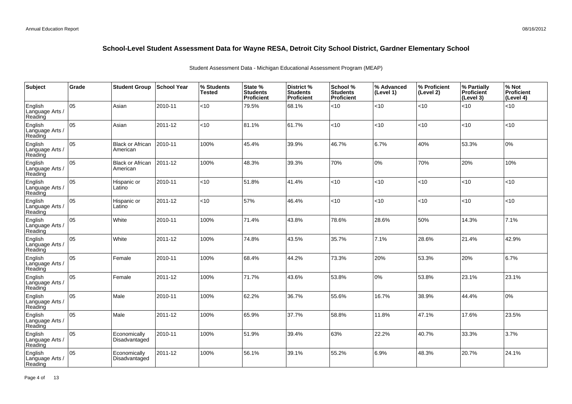| <b>Subject</b>                        | Grade | <b>Student Group</b>                | <b>School Year</b> | % Students<br><b>Tested</b> | State %<br><b>Students</b><br><b>Proficient</b> | District %<br><b>Students</b><br>Proficient | School %<br><b>Students</b><br><b>Proficient</b> | % Advanced<br>(Level 1) | % Proficient<br>(Level 2) | % Partially<br>Proficient<br>(Level 3) | % Not<br>Proficient<br>(Level 4) |
|---------------------------------------|-------|-------------------------------------|--------------------|-----------------------------|-------------------------------------------------|---------------------------------------------|--------------------------------------------------|-------------------------|---------------------------|----------------------------------------|----------------------------------|
| English<br>Language Arts /<br>Reading | 05    | Asian                               | 2010-11            | <10                         | 79.5%                                           | 68.1%                                       | <10                                              | < 10                    | < 10                      | < 10                                   | <10                              |
| English<br>Language Arts /<br>Reading | 05    | Asian                               | 2011-12            | <10                         | 81.1%                                           | 61.7%                                       | <10                                              | < 10                    | < 10                      | < 10                                   | <10                              |
| English<br>Language Arts /<br>Reading | 05    | <b>Black or African</b><br>American | 2010-11            | 100%                        | 45.4%                                           | 39.9%                                       | 46.7%                                            | 6.7%                    | 40%                       | 53.3%                                  | 0%                               |
| English<br>Language Arts /<br>Reading | 05    | <b>Black or African</b><br>American | 2011-12            | 100%                        | 48.3%                                           | 39.3%                                       | 70%                                              | 0%                      | 70%                       | 20%                                    | 10%                              |
| English<br>Language Arts /<br>Reading | 05    | Hispanic or<br>Latino               | 2010-11            | <10                         | 51.8%                                           | 41.4%                                       | <10                                              | <10                     | < 10                      | <10                                    | <10                              |
| English<br>Language Arts /<br>Reading | 05    | Hispanic or<br>Latino               | 2011-12            | <10                         | 57%                                             | 46.4%                                       | < 10                                             | <10                     | < 10                      | < 10                                   | $<$ 10                           |
| English<br>Language Arts /<br>Reading | 05    | White                               | 2010-11            | 100%                        | 71.4%                                           | 43.8%                                       | 78.6%                                            | 28.6%                   | 50%                       | 14.3%                                  | 7.1%                             |
| English<br>Language Arts /<br>Reading | 05    | White                               | 2011-12            | 100%                        | 74.8%                                           | 43.5%                                       | 35.7%                                            | 7.1%                    | 28.6%                     | 21.4%                                  | 42.9%                            |
| English<br>Language Arts /<br>Reading | 05    | Female                              | 2010-11            | 100%                        | 68.4%                                           | 44.2%                                       | 73.3%                                            | 20%                     | 53.3%                     | 20%                                    | 6.7%                             |
| English<br>Language Arts /<br>Reading | 05    | Female                              | 2011-12            | 100%                        | 71.7%                                           | 43.6%                                       | 53.8%                                            | 0%                      | 53.8%                     | 23.1%                                  | 23.1%                            |
| English<br>Language Arts /<br>Reading | 05    | Male                                | 2010-11            | 100%                        | 62.2%                                           | 36.7%                                       | 55.6%                                            | 16.7%                   | 38.9%                     | 44.4%                                  | 0%                               |
| English<br>Language Arts /<br>Reading | 05    | Male                                | 2011-12            | 100%                        | 65.9%                                           | 37.7%                                       | 58.8%                                            | 11.8%                   | 47.1%                     | 17.6%                                  | 23.5%                            |
| English<br>Language Arts /<br>Reading | 05    | Economically<br>Disadvantaged       | 2010-11            | 100%                        | 51.9%                                           | 39.4%                                       | 63%                                              | 22.2%                   | 40.7%                     | 33.3%                                  | 3.7%                             |
| English<br>Language Arts<br>Reading   | 05    | Economically<br>Disadvantaged       | 2011-12            | 100%                        | 56.1%                                           | 39.1%                                       | 55.2%                                            | 6.9%                    | 48.3%                     | 20.7%                                  | 24.1%                            |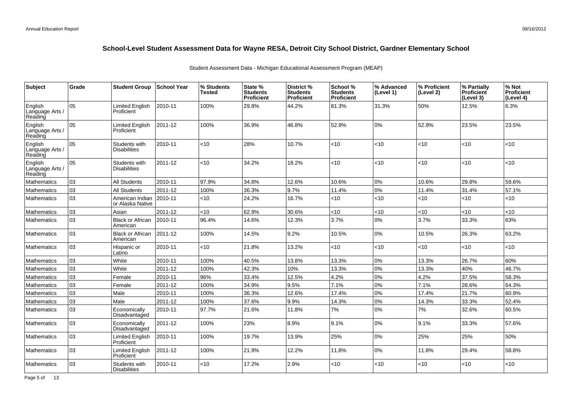| <b>Subject</b>                        | Grade | <b>Student Group</b>                 | <b>School Year</b> | % Students<br>Tested | State %<br><b>Students</b><br>Proficient | District %<br><b>Students</b><br><b>Proficient</b> | School %<br><b>Students</b><br><b>Proficient</b> | % Advanced<br>(Level 1) | % Proficient<br>(Level 2) | % Partially<br><b>Proficient</b><br>(Level 3) | % Not<br><b>Proficient</b><br>(Level 4) |
|---------------------------------------|-------|--------------------------------------|--------------------|----------------------|------------------------------------------|----------------------------------------------------|--------------------------------------------------|-------------------------|---------------------------|-----------------------------------------------|-----------------------------------------|
| English<br>Language Arts /<br>Reading | 05    | <b>Limited English</b><br>Proficient | 2010-11            | 100%                 | 29.8%                                    | 44.2%                                              | 81.3%                                            | 31.3%                   | 50%                       | 12.5%                                         | 6.3%                                    |
| English<br>Language Arts /<br>Reading | 05    | <b>Limited English</b><br>Proficient | 2011-12            | 100%                 | 36.9%                                    | 46.8%                                              | 52.9%                                            | 10%                     | 52.9%                     | 23.5%                                         | 23.5%                                   |
| English<br>Language Arts /<br>Reading | lo5   | Students with<br><b>Disabilities</b> | 2010-11            | <10                  | 28%                                      | 10.7%                                              | <10                                              | < 10                    | <10                       | < 10                                          | <10                                     |
| English<br>Language Arts /<br>Reading | 05    | Students with<br><b>Disabilities</b> | 2011-12            | <10                  | 34.2%                                    | 18.2%                                              | <10                                              | < 10                    | $<$ 10                    | < 10                                          | <10                                     |
| <b>Mathematics</b>                    | 03    | <b>All Students</b>                  | 2010-11            | 97.9%                | 34.8%                                    | 12.6%                                              | 10.6%                                            | 0%                      | 10.6%                     | 29.8%                                         | 59.6%                                   |
| Mathematics                           | 03    | <b>All Students</b>                  | 2011-12            | 100%                 | 36.3%                                    | 9.7%                                               | 11.4%                                            | 0%                      | 11.4%                     | 31.4%                                         | 57.1%                                   |
| <b>Mathematics</b>                    | 03    | American Indian<br>or Alaska Native  | 2010-11            | $<$ 10               | 24.2%                                    | 16.7%                                              | $<$ 10                                           | < 10                    | <10                       | < 10                                          | <10                                     |
| Mathematics                           | 03    | Asian                                | 2011-12            | <10                  | 62.9%                                    | 30.6%                                              | <10                                              | < 10                    | <10                       | <10                                           | <10                                     |
| Mathematics                           | 03    | <b>Black or African</b><br>American  | 2010-11            | 96.4%                | 14.6%                                    | 12.3%                                              | 3.7%                                             | 0%                      | 3.7%                      | 33.3%                                         | 63%                                     |
| Mathematics                           | 03    | <b>Black or African</b><br>American  | 2011-12            | 100%                 | 14.5%                                    | 9.2%                                               | 10.5%                                            | 0%                      | 10.5%                     | 26.3%                                         | 63.2%                                   |
| Mathematics                           | 03    | Hispanic or<br>Latino                | 2010-11            | <10                  | 21.8%                                    | 13.2%                                              | <10                                              | < 10                    | <10                       | <10                                           | <10                                     |
| <b>Mathematics</b>                    | 03    | White                                | 2010-11            | 100%                 | 40.5%                                    | 13.8%                                              | 13.3%                                            | 0%                      | 13.3%                     | 26.7%                                         | 60%                                     |
| <b>Mathematics</b>                    | 03    | White                                | 2011-12            | 100%                 | 42.3%                                    | 10%                                                | 13.3%                                            | 0%                      | 13.3%                     | 40%                                           | 46.7%                                   |
| Mathematics                           | 03    | Female                               | 2010-11            | 96%                  | 33.4%                                    | 12.5%                                              | 4.2%                                             | 0%                      | 4.2%                      | 37.5%                                         | 58.3%                                   |
| Mathematics                           | 03    | Female                               | 2011-12            | 100%                 | 34.9%                                    | 9.5%                                               | 7.1%                                             | 0%                      | 7.1%                      | 28.6%                                         | 64.3%                                   |
| Mathematics                           | 03    | Male                                 | 2010-11            | 100%                 | 36.3%                                    | 12.6%                                              | 17.4%                                            | 0%                      | 17.4%                     | 21.7%                                         | 60.9%                                   |
| Mathematics                           | 03    | Male                                 | 2011-12            | 100%                 | 37.6%                                    | 9.9%                                               | 14.3%                                            | 0%                      | 14.3%                     | 33.3%                                         | 52.4%                                   |
| Mathematics                           | 03    | Economically<br>Disadvantaged        | 2010-11            | 97.7%                | 21.6%                                    | 11.8%                                              | 7%                                               | 0%                      | 7%                        | 32.6%                                         | 60.5%                                   |
| <b>Mathematics</b>                    | 03    | Economically<br>Disadvantaged        | 2011-12            | 100%                 | 23%                                      | 8.9%                                               | 9.1%                                             | 0%                      | 9.1%                      | 33.3%                                         | 57.6%                                   |
| <b>Mathematics</b>                    | 03    | <b>Limited English</b><br>Proficient | 2010-11            | 100%                 | 19.7%                                    | 13.9%                                              | 25%                                              | 10%                     | 25%                       | 25%                                           | 50%                                     |
| <b>Mathematics</b>                    | 03    | <b>Limited English</b><br>Proficient | 2011-12            | 100%                 | 21.9%                                    | 12.2%                                              | 11.8%                                            | 0%                      | 11.8%                     | 29.4%                                         | 58.8%                                   |
| <b>Mathematics</b>                    | 03    | Students with<br><b>Disabilities</b> | 2010-11            | <10                  | 17.2%                                    | 2.9%                                               | $<$ 10                                           | <10                     | $<$ 10                    | <10                                           | <10                                     |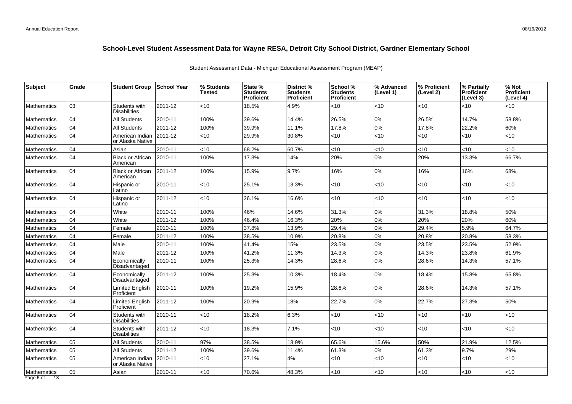| Subject                          | Grade | <b>Student Group</b>                        | School Year   | % Students<br>Tested | State %<br><b>Students</b><br>Proficient | District %<br><b>Students</b><br><b>Proficient</b> | School %<br><b>Students</b><br>Proficient | % Advanced<br>(Level 1) | % Proficient<br>(Level 2) | % Partially<br><b>Proficient</b><br>(Level 3) | % Not<br>Proficient<br>(Level 4) |
|----------------------------------|-------|---------------------------------------------|---------------|----------------------|------------------------------------------|----------------------------------------------------|-------------------------------------------|-------------------------|---------------------------|-----------------------------------------------|----------------------------------|
| <b>Mathematics</b>               | 03    | Students with<br><b>Disabilities</b>        | 2011-12       | $<$ 10               | 18.5%                                    | 4.9%                                               | <10                                       | <10                     | <10                       | <10                                           | <10                              |
| <b>Mathematics</b>               | 04    | <b>All Students</b>                         | 2010-11       | 100%                 | 39.6%                                    | 14.4%                                              | 26.5%                                     | 0%                      | 26.5%                     | 14.7%                                         | 58.8%                            |
| <b>Mathematics</b>               | 04    | <b>All Students</b>                         | 2011-12       | 100%                 | 39.9%                                    | 11.1%                                              | 17.8%                                     | 0%                      | 17.8%                     | 22.2%                                         | 60%                              |
| <b>Mathematics</b>               | 04    | American Indian 2011-12<br>or Alaska Native |               | $<$ 10               | 29.9%                                    | 30.8%                                              | <10                                       | <10                     | <10                       | < 10                                          | <10                              |
| Mathematics                      | 04    | Asian                                       | 2010-11       | <10                  | 68.2%                                    | 60.7%                                              | <10                                       | < 10                    | < 10                      | <10                                           | <10                              |
| <b>Mathematics</b>               | 04    | <b>Black or African</b><br>American         | 2010-11       | 100%                 | 17.3%                                    | 14%                                                | 20%                                       | 0%                      | 20%                       | 13.3%                                         | 66.7%                            |
| <b>Mathematics</b>               | 04    | <b>Black or African</b><br>American         | $ 2011 - 12 $ | 100%                 | 15.9%                                    | 9.7%                                               | 16%                                       | 0%                      | 16%                       | 16%                                           | 68%                              |
| <b>Mathematics</b>               | 04    | Hispanic or<br>Latino                       | 2010-11       | <10                  | 25.1%                                    | 13.3%                                              | <10                                       | <10                     | <10                       | $<10$                                         | <10                              |
| <b>Mathematics</b>               | 04    | Hispanic or<br>Latino                       | 2011-12       | <10                  | 26.1%                                    | 16.6%                                              | $<$ 10                                    | < 10                    | $<$ 10                    | < 10                                          | <10                              |
| <b>Mathematics</b>               | 04    | White                                       | 2010-11       | 100%                 | 46%                                      | 14.6%                                              | 31.3%                                     | 0%                      | 31.3%                     | 18.8%                                         | 50%                              |
| <b>Mathematics</b>               | 04    | White                                       | 2011-12       | 100%                 | 46.4%                                    | 16.3%                                              | 20%                                       | $0\%$                   | 20%                       | 20%                                           | 60%                              |
| Mathematics                      | 04    | Female                                      | 2010-11       | 100%                 | 37.8%                                    | 13.9%                                              | 29.4%                                     | 0%                      | 29.4%                     | 5.9%                                          | 64.7%                            |
| <b>Mathematics</b>               | 04    | Female                                      | 2011-12       | 100%                 | 38.5%                                    | 10.9%                                              | 20.8%                                     | 0%                      | 20.8%                     | 20.8%                                         | 58.3%                            |
| <b>Mathematics</b>               | 04    | Male                                        | 2010-11       | 100%                 | 41.4%                                    | 15%                                                | 23.5%                                     | 0%                      | 23.5%                     | 23.5%                                         | 52.9%                            |
| <b>Mathematics</b>               | 04    | Male                                        | 2011-12       | 100%                 | 41.2%                                    | 11.3%                                              | 14.3%                                     | 0%                      | 14.3%                     | 23.8%                                         | 61.9%                            |
| <b>Mathematics</b>               | 04    | Economically<br><b>Disadvantaged</b>        | 2010-11       | 100%                 | 25.3%                                    | 14.3%                                              | 28.6%                                     | 0%                      | 28.6%                     | 14.3%                                         | 57.1%                            |
| <b>Mathematics</b>               | 04    | Economically<br>Disadvantaged               | 2011-12       | 100%                 | 25.3%                                    | 10.3%                                              | 18.4%                                     | 0%                      | 18.4%                     | 15.8%                                         | 65.8%                            |
| <b>Mathematics</b>               | 04    | <b>Limited English</b><br>Proficient        | 2010-11       | 100%                 | 19.2%                                    | 15.9%                                              | 28.6%                                     | $0\%$                   | 28.6%                     | 14.3%                                         | 57.1%                            |
| <b>Mathematics</b>               | 04    | <b>Limited English</b><br>Proficient        | 2011-12       | 100%                 | 20.9%                                    | 18%                                                | 22.7%                                     | 0%                      | 22.7%                     | 27.3%                                         | 50%                              |
| <b>Mathematics</b>               | 04    | Students with<br><b>Disabilities</b>        | 2010-11       | <10                  | 18.2%                                    | 6.3%                                               | $<$ 10                                    | < 10                    | $<$ 10                    | < 10                                          | <10                              |
| <b>Mathematics</b>               | 04    | Students with<br><b>Disabilities</b>        | 2011-12       | <10                  | 18.3%                                    | 7.1%                                               | <10                                       | <10                     | $<$ 10                    | < 10                                          | <10                              |
| <b>Mathematics</b>               | 05    | <b>All Students</b>                         | 2010-11       | 97%                  | 38.5%                                    | 13.9%                                              | 65.6%                                     | 15.6%                   | 50%                       | 21.9%                                         | 12.5%                            |
| <b>Mathematics</b>               | 05    | <b>All Students</b>                         | 2011-12       | 100%                 | 39.6%                                    | 11.4%                                              | 61.3%                                     | 0%                      | 61.3%                     | 9.7%                                          | 29%                              |
| Mathematics                      | 05    | American Indian<br>or Alaska Native         | 2010-11       | $<$ 10               | 27.1%                                    | 4%                                                 | <10                                       | < 10                    | $<$ 10                    | < 10                                          | <10                              |
| Mathematics<br>Page 6 of<br>- 13 | 05    | Asian                                       | 2010-11       | $<$ 10               | 70.6%                                    | 48.3%                                              | <10                                       | <10                     | < 10                      | $<$ 10                                        | <10                              |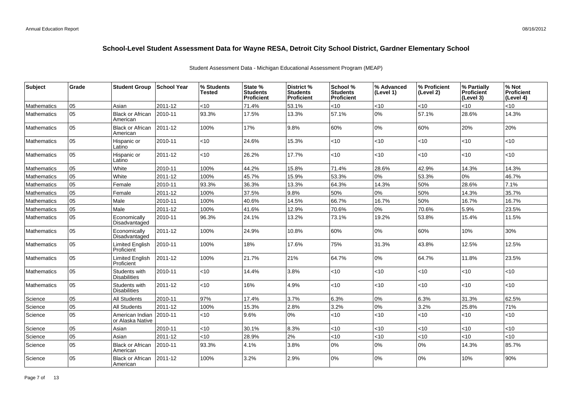| <b>Subject</b>     | Grade | <b>Student Group</b>                 | <b>School Year</b> | % Students<br><b>Tested</b> | State %<br><b>Students</b><br><b>Proficient</b> | <b>District %</b><br><b>Students</b><br><b>Proficient</b> | School %<br><b>Students</b><br><b>Proficient</b> | % Advanced<br>(Level 1) | % Proficient<br>(Level 2) | % Partially<br>Proficient<br>(Level 3) | % Not<br>Proficient<br>(Level 4) |
|--------------------|-------|--------------------------------------|--------------------|-----------------------------|-------------------------------------------------|-----------------------------------------------------------|--------------------------------------------------|-------------------------|---------------------------|----------------------------------------|----------------------------------|
| <b>Mathematics</b> | 05    | Asian                                | 2011-12            | <10                         | 71.4%                                           | 53.1%                                                     | <10                                              | < 10                    | <10                       | < 10                                   | <10                              |
| <b>Mathematics</b> | 05    | <b>Black or African</b><br>American  | 2010-11            | 93.3%                       | 17.5%                                           | 13.3%                                                     | 57.1%                                            | $0\%$                   | 57.1%                     | 28.6%                                  | 14.3%                            |
| <b>Mathematics</b> | 05    | <b>Black or African</b><br>American  | 2011-12            | 100%                        | 17%                                             | 9.8%                                                      | 60%                                              | 0%                      | 60%                       | 20%                                    | 20%                              |
| <b>Mathematics</b> | 05    | Hispanic or<br>Latino                | 2010-11            | $<$ 10                      | 24.6%                                           | 15.3%                                                     | $<$ 10                                           | < 10                    | <10                       | < 10                                   | <10                              |
| Mathematics        | 05    | Hispanic or<br>Latino                | 2011-12            | <10                         | 26.2%                                           | 17.7%                                                     | $<$ 10                                           | < 10                    | <10                       | < 10                                   | <10                              |
| <b>Mathematics</b> | 05    | White                                | 2010-11            | 100%                        | 44.2%                                           | 15.8%                                                     | 71.4%                                            | 28.6%                   | 42.9%                     | 14.3%                                  | 14.3%                            |
| <b>Mathematics</b> | 05    | White                                | 2011-12            | 100%                        | 45.7%                                           | 15.9%                                                     | 53.3%                                            | 0%                      | 53.3%                     | 0%                                     | 46.7%                            |
| Mathematics        | 05    | Female                               | 2010-11            | 93.3%                       | 36.3%                                           | 13.3%                                                     | 64.3%                                            | 14.3%                   | 50%                       | 28.6%                                  | 7.1%                             |
| <b>Mathematics</b> | 05    | Female                               | 2011-12            | 100%                        | 37.5%                                           | 9.8%                                                      | 50%                                              | 0%                      | 50%                       | 14.3%                                  | 35.7%                            |
| <b>Mathematics</b> | 05    | Male                                 | 2010-11            | 100%                        | 40.6%                                           | 14.5%                                                     | 66.7%                                            | 16.7%                   | 50%                       | 16.7%                                  | 16.7%                            |
| Mathematics        | 05    | Male                                 | 2011-12            | 100%                        | 41.6%                                           | 12.9%                                                     | 70.6%                                            | 0%                      | 70.6%                     | 5.9%                                   | 23.5%                            |
| <b>Mathematics</b> | 05    | Economically<br>Disadvantaged        | 2010-11            | 96.3%                       | 24.1%                                           | 13.2%                                                     | 73.1%                                            | 19.2%                   | 53.8%                     | 15.4%                                  | 11.5%                            |
| <b>Mathematics</b> | 05    | Economically<br>Disadvantaged        | 2011-12            | 100%                        | 24.9%                                           | 10.8%                                                     | 60%                                              | 0%                      | 60%                       | 10%                                    | 30%                              |
| <b>Mathematics</b> | 05    | <b>Limited English</b><br>Proficient | 2010-11            | 100%                        | 18%                                             | 17.6%                                                     | 75%                                              | 31.3%                   | 43.8%                     | 12.5%                                  | 12.5%                            |
| <b>Mathematics</b> | 05    | <b>Limited English</b><br>Proficient | 2011-12            | 100%                        | 21.7%                                           | 21%                                                       | 64.7%                                            | 0%                      | 64.7%                     | 11.8%                                  | 23.5%                            |
| Mathematics        | 05    | Students with<br><b>Disabilities</b> | 2010-11            | $<$ 10                      | 14.4%                                           | 3.8%                                                      | $<$ 10                                           | < 10                    | $<$ 10                    | < 10                                   | <10                              |
| <b>Mathematics</b> | 05    | Students with<br><b>Disabilities</b> | 2011-12            | <10                         | 16%                                             | 4.9%                                                      | $<$ 10                                           | < 10                    | <10                       | < 10                                   | <10                              |
| Science            | 05    | <b>All Students</b>                  | 2010-11            | 97%                         | 17.4%                                           | 3.7%                                                      | 6.3%                                             | 0%                      | 6.3%                      | 31.3%                                  | 62.5%                            |
| Science            | 05    | All Students                         | 2011-12            | 100%                        | 15.3%                                           | 2.8%                                                      | 3.2%                                             | $0\%$                   | 3.2%                      | 25.8%                                  | 71%                              |
| Science            | 05    | American Indian<br>or Alaska Native  | 2010-11            | $<$ 10                      | 9.6%                                            | 0%                                                        | $<$ 10                                           | < 10                    | $<$ 10                    | < 10                                   | <10                              |
| Science            | 05    | Asian                                | 2010-11            | < 10                        | 30.1%                                           | 8.3%                                                      | $<$ 10                                           | < 10                    | <10                       | < 10                                   | <10                              |
| Science            | 05    | Asian                                | 2011-12            | <10                         | 28.9%                                           | 2%                                                        | <10                                              | < 10                    | <10                       | <10                                    | <10                              |
| Science            | 05    | <b>Black or African</b><br>American  | 2010-11            | 93.3%                       | 4.1%                                            | 3.8%                                                      | 0%                                               | $0\%$                   | $0\%$                     | 14.3%                                  | 85.7%                            |
| Science            | 05    | <b>Black or African</b><br>American  | 2011-12            | 100%                        | 3.2%                                            | 2.9%                                                      | 0%                                               | 0%                      | 0%                        | 10%                                    | 90%                              |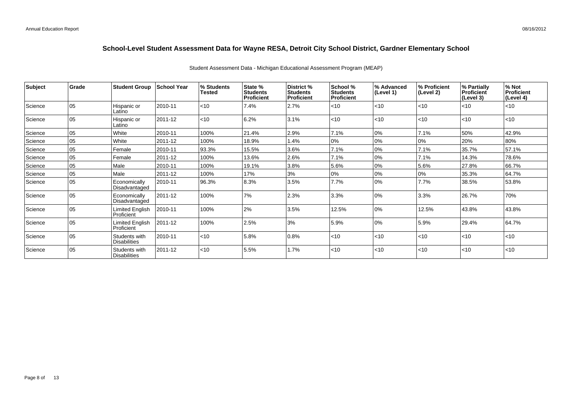| <b>Subject</b> | <b>Grade</b> | <b>Student Group</b>                 | <b>School Year</b> | % Students<br><b>Tested</b> | State %<br>Students<br><b>Proficient</b> | District %<br><b>Students</b><br>Proficient | School %<br><b>Students</b><br><b>Proficient</b> | % Advanced<br>(Level 1) | % Proficient<br>(Level 2) | % Partially<br>Proficient<br>(Level 3) | % Not<br>Proficient<br>(Level 4) |
|----------------|--------------|--------------------------------------|--------------------|-----------------------------|------------------------------------------|---------------------------------------------|--------------------------------------------------|-------------------------|---------------------------|----------------------------------------|----------------------------------|
| Science        | l 05         | Hispanic or<br>Latino                | 2010-11            | $\vert$ <10                 | 7.4%                                     | 2.7%                                        | $<$ 10                                           | < 10                    | < 10                      | $\leq 10$                              | $<$ 10                           |
| Science        | 05           | Hispanic or<br>Latino                | 2011-12            | < 10                        | 6.2%                                     | 3.1%                                        | < 10                                             | < 10                    | < 10                      | $ $ < 10                               | $<$ 10                           |
| Science        | 05           | White                                | 2010-11            | 100%                        | 21.4%                                    | 2.9%                                        | 7.1%                                             | 0%                      | 7.1%                      | 50%                                    | 42.9%                            |
| Science        | 05           | White                                | 2011-12            | 100%                        | 18.9%                                    | 1.4%                                        | 0%                                               | 0%                      | 0%                        | 20%                                    | 80%                              |
| Science        | 05           | Female                               | 2010-11            | 93.3%                       | 15.5%                                    | 3.6%                                        | 7.1%                                             | 0%                      | 7.1%                      | 35.7%                                  | 57.1%                            |
| Science        | 05           | Female                               | 2011-12            | 100%                        | 13.6%                                    | 2.6%                                        | 7.1%                                             | 0%                      | 7.1%                      | 14.3%                                  | 78.6%                            |
| Science        | 05           | Male                                 | 2010-11            | 100%                        | 19.1%                                    | 3.8%                                        | 5.6%                                             | 0%                      | 5.6%                      | 27.8%                                  | 66.7%                            |
| Science        | 05           | Male                                 | 2011-12            | 100%                        | 17%                                      | 3%                                          | 0%                                               | 0%                      | 0%                        | 35.3%                                  | 64.7%                            |
| Science        | l 05         | Economically<br>Disadvantaged        | 2010-11            | 96.3%                       | 8.3%                                     | 3.5%                                        | 7.7%                                             | 0%                      | 7.7%                      | 38.5%                                  | 53.8%                            |
| Science        | l 05         | Economically<br>Disadvantaged        | 2011-12            | 100%                        | 7%                                       | 2.3%                                        | 3.3%                                             | 0%                      | 3.3%                      | 26.7%                                  | 70%                              |
| Science        | 05           | <b>Limited English</b><br>Proficient | 2010-11            | 100%                        | 2%                                       | 3.5%                                        | 12.5%                                            | 0%                      | 12.5%                     | 43.8%                                  | 43.8%                            |
| Science        | 05           | Limited English<br>Proficient        | 2011-12            | 100%                        | 2.5%                                     | 3%                                          | 5.9%                                             | 0%                      | 5.9%                      | 29.4%                                  | 64.7%                            |
| Science        | 05           | Students with<br><b>Disabilities</b> | 2010-11            | $ $ < 10                    | 5.8%                                     | 0.8%                                        | $<$ 10                                           | < 10                    | < 10                      | $ $ < 10                               | $<$ 10                           |
| Science        | 05           | Students with<br><b>Disabilities</b> | 2011-12            | < 10                        | 5.5%                                     | 1.7%                                        | < 10                                             | < 10                    | < 10                      | $\mathsf{I}$ <10                       | <10                              |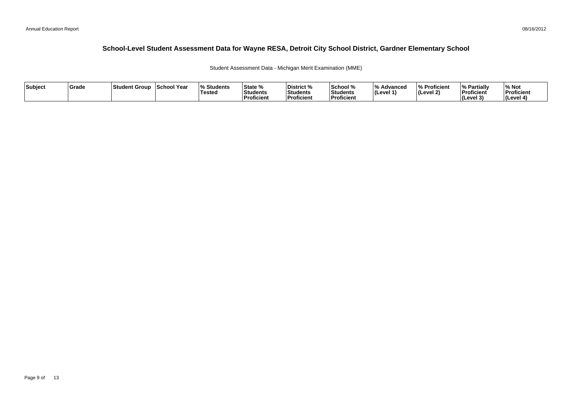Student Assessment Data - Michigan Merit Examination (MME)

| Subject | Grade | ⊺Student Group | School Year | <b>Students</b> l%<br><b>Tested</b> | State %<br><b>Students</b><br><b>Proficient</b> | District %<br><b>Students</b><br>Proficient | School %<br>Students<br><b>Proficien</b> | 1 O /<br><i>/</i> ∘ Advanced<br>∣(Level 1' | % Proficient<br>$ $ (Level 2) | <sup>1</sup> % Partiali<br>Proficient<br>$ $ (Level $3$ | % Not<br>Proficient<br>(Level 4) |
|---------|-------|----------------|-------------|-------------------------------------|-------------------------------------------------|---------------------------------------------|------------------------------------------|--------------------------------------------|-------------------------------|---------------------------------------------------------|----------------------------------|
|---------|-------|----------------|-------------|-------------------------------------|-------------------------------------------------|---------------------------------------------|------------------------------------------|--------------------------------------------|-------------------------------|---------------------------------------------------------|----------------------------------|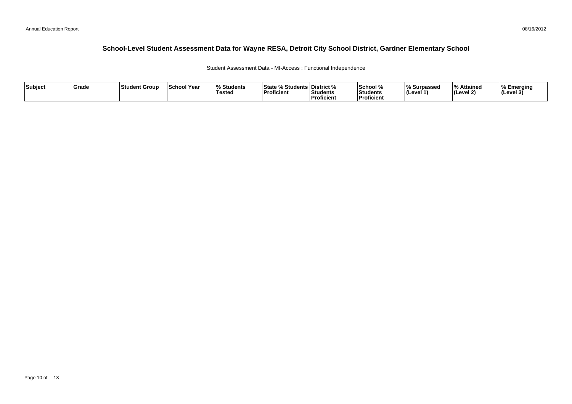# **School-Level Student Assessment Data for Wayne RESA, Detroit City School District, Gardner Elementary School**

Student Assessment Data - MI-Access : Functional Independence

| Subject | Grade | ∣Student Group | <b>School Year</b> | $\Omega$<br>Students<br><b>Tested</b> | State % Stu<br>studen•r<br>Proficient | District %<br>Students<br>Proficient | ∣School %<br>Students<br>l Proficient | Surpassed<br>∣ (Level 1 | % Attained<br>∣(Level 2) | b Emerging ه.<br>$ $ (Level 3) |
|---------|-------|----------------|--------------------|---------------------------------------|---------------------------------------|--------------------------------------|---------------------------------------|-------------------------|--------------------------|--------------------------------|
|---------|-------|----------------|--------------------|---------------------------------------|---------------------------------------|--------------------------------------|---------------------------------------|-------------------------|--------------------------|--------------------------------|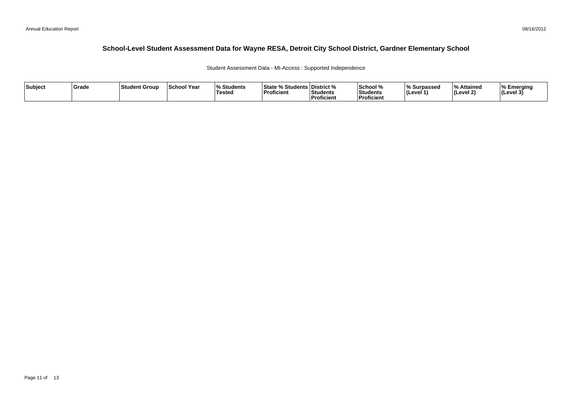# **School-Level Student Assessment Data for Wayne RESA, Detroit City School District, Gardner Elementary School**

Student Assessment Data - MI-Access : Supported Independence

| Subject | Grade | ∣Student Group | <b>School Year</b> | $\Omega$<br>Students<br><b>Tested</b> | State % Stu<br>studen•r<br>Proficient | District %<br>Students<br>Proficient | ∣School %<br>Students<br>l Proficient | Surpassed<br>∣ (Level 1 | % Attained<br>∣(Level 2) | b Emerging ه.<br>$ $ (Level 3) |
|---------|-------|----------------|--------------------|---------------------------------------|---------------------------------------|--------------------------------------|---------------------------------------|-------------------------|--------------------------|--------------------------------|
|---------|-------|----------------|--------------------|---------------------------------------|---------------------------------------|--------------------------------------|---------------------------------------|-------------------------|--------------------------|--------------------------------|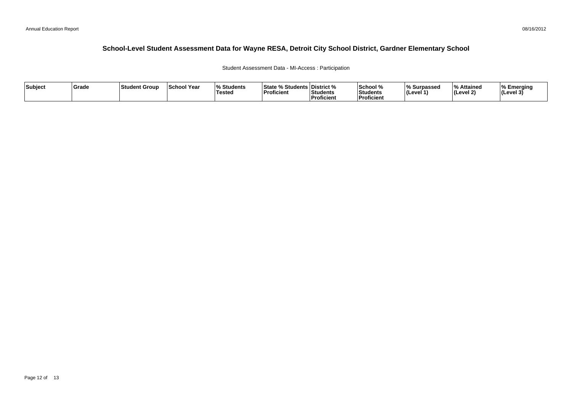# **School-Level Student Assessment Data for Wayne RESA, Detroit City School District, Gardner Elementary School**

#### Student Assessment Data - MI-Access : Participation

| Subject | ∣Grade | ⊺Student Group | <b>School Year</b> | $\overline{\mathbf{0}}$<br>Students ،<br>Tested | State % Students District %<br>Proficient | Students<br>Proficient | School %<br>Students<br><b>Proficient</b> | % Surpassed<br><b>I</b> (Level · | % Attained<br>(Level 2) | <b>I% Emerging</b><br> (Level 3) |
|---------|--------|----------------|--------------------|-------------------------------------------------|-------------------------------------------|------------------------|-------------------------------------------|----------------------------------|-------------------------|----------------------------------|
|---------|--------|----------------|--------------------|-------------------------------------------------|-------------------------------------------|------------------------|-------------------------------------------|----------------------------------|-------------------------|----------------------------------|